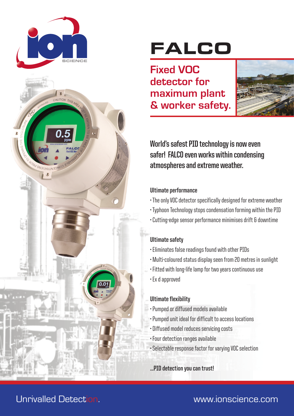

# FALCO

**Fixed VOC detector for maximum plant & worker safety.**



**World's safest PID technology is now even safer! FALCO even works within condensing atmospheres and extreme weather.**

#### **Ultimate performance**

- The only VOC detector specifically designed for extreme weather
- Typhoon Technology stops condensation forming within the PID
- Cutting-edge sensor performance minimises drift & downtime

#### **Ultimate safety**

- Eliminates false readings found with other PIDs
- Multi-coloured status display seen from 20 metres in sunlight
- Fitted with long-life lamp for two years continuous use
- Ex d approved

#### **Ultimate flexibility**

- Pumped or diffused models available
- Pumped unit ideal for difficult to access locations
- Diffused model reduces servicing costs
- Four detection ranges available
- Selectable response factor for varying VOC selection

**...PID detection you can trust!**

## Unrivalled Detection. www.ionscience.com